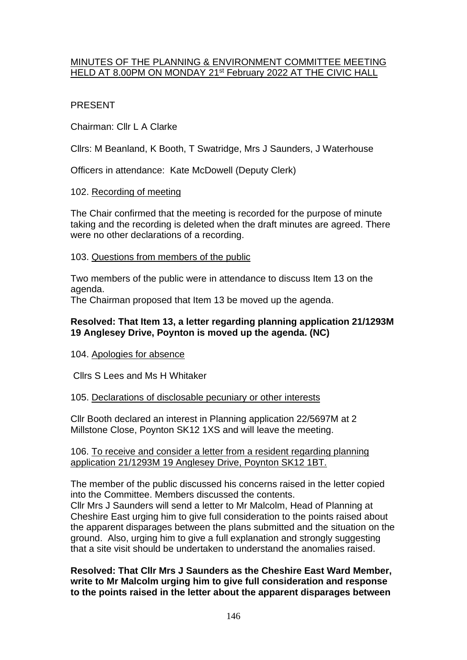## MINUTES OF THE PLANNING & ENVIRONMENT COMMITTEE MEETING HELD AT 8.00PM ON MONDAY 21<sup>st</sup> February 2022 AT THE CIVIC HALL

# PRESENT

Chairman: Cllr L A Clarke

Cllrs: M Beanland, K Booth, T Swatridge, Mrs J Saunders, J Waterhouse

Officers in attendance: Kate McDowell (Deputy Clerk)

## 102. Recording of meeting

The Chair confirmed that the meeting is recorded for the purpose of minute taking and the recording is deleted when the draft minutes are agreed. There were no other declarations of a recording.

## 103. Questions from members of the public

Two members of the public were in attendance to discuss Item 13 on the agenda.

The Chairman proposed that Item 13 be moved up the agenda.

## **Resolved: That Item 13, a letter regarding planning application 21/1293M 19 Anglesey Drive, Poynton is moved up the agenda. (NC)**

### 104. Apologies for absence

Cllrs S Lees and Ms H Whitaker

### 105. Declarations of disclosable pecuniary or other interests

Cllr Booth declared an interest in Planning application 22/5697M at 2 Millstone Close, Poynton SK12 1XS and will leave the meeting.

### 106. To receive and consider a letter from a resident regarding planning application 21/1293M 19 Anglesey Drive, Poynton SK12 1BT.

The member of the public discussed his concerns raised in the letter copied into the Committee. Members discussed the contents.

Cllr Mrs J Saunders will send a letter to Mr Malcolm, Head of Planning at Cheshire East urging him to give full consideration to the points raised about the apparent disparages between the plans submitted and the situation on the ground. Also, urging him to give a full explanation and strongly suggesting that a site visit should be undertaken to understand the anomalies raised.

**Resolved: That Cllr Mrs J Saunders as the Cheshire East Ward Member, write to Mr Malcolm urging him to give full consideration and response to the points raised in the letter about the apparent disparages between**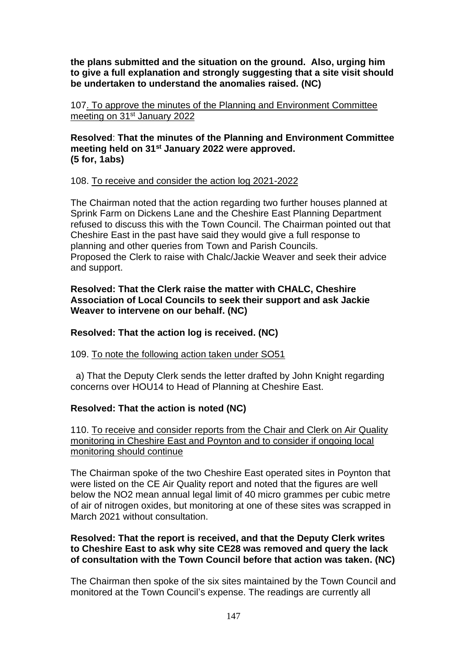**the plans submitted and the situation on the ground. Also, urging him to give a full explanation and strongly suggesting that a site visit should be undertaken to understand the anomalies raised. (NC)**

107. To approve the minutes of the Planning and Environment Committee meeting on 31st January 2022

**Resolved**: **That the minutes of the Planning and Environment Committee meeting held on 31st January 2022 were approved. (5 for, 1abs)**

## 108. To receive and consider the action log 2021-2022

The Chairman noted that the action regarding two further houses planned at Sprink Farm on Dickens Lane and the Cheshire East Planning Department refused to discuss this with the Town Council. The Chairman pointed out that Cheshire East in the past have said they would give a full response to planning and other queries from Town and Parish Councils. Proposed the Clerk to raise with Chalc/Jackie Weaver and seek their advice and support.

### **Resolved: That the Clerk raise the matter with CHALC, Cheshire Association of Local Councils to seek their support and ask Jackie Weaver to intervene on our behalf. (NC)**

## **Resolved: That the action log is received. (NC)**

109. To note the following action taken under SO51

 a) That the Deputy Clerk sends the letter drafted by John Knight regarding concerns over HOU14 to Head of Planning at Cheshire East.

## **Resolved: That the action is noted (NC)**

110. To receive and consider reports from the Chair and Clerk on Air Quality monitoring in Cheshire East and Poynton and to consider if ongoing local monitoring should continue

The Chairman spoke of the two Cheshire East operated sites in Poynton that were listed on the CE Air Quality report and noted that the figures are well below the NO2 mean annual legal limit of 40 micro grammes per cubic metre of air of nitrogen oxides, but monitoring at one of these sites was scrapped in March 2021 without consultation.

### **Resolved: That the report is received, and that the Deputy Clerk writes to Cheshire East to ask why site CE28 was removed and query the lack of consultation with the Town Council before that action was taken. (NC)**

The Chairman then spoke of the six sites maintained by the Town Council and monitored at the Town Council's expense. The readings are currently all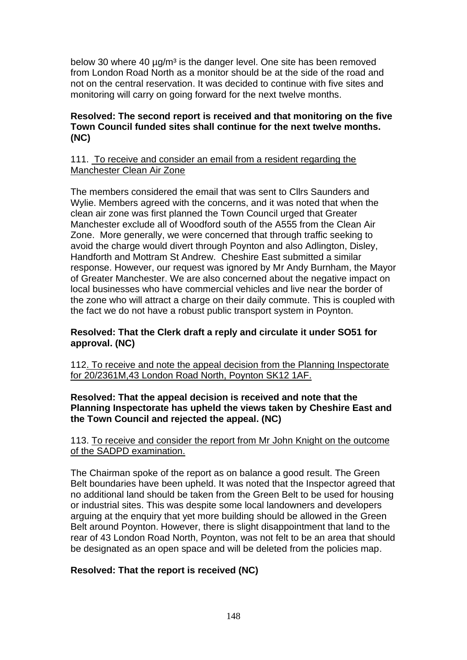below 30 where 40  $\mu$ g/m<sup>3</sup> is the danger level. One site has been removed from London Road North as a monitor should be at the side of the road and not on the central reservation. It was decided to continue with five sites and monitoring will carry on going forward for the next twelve months.

### **Resolved: The second report is received and that monitoring on the five Town Council funded sites shall continue for the next twelve months. (NC)**

#### 111. To receive and consider an email from a resident regarding the Manchester Clean Air Zone

The members considered the email that was sent to Cllrs Saunders and Wylie. Members agreed with the concerns, and it was noted that when the clean air zone was first planned the Town Council urged that Greater Manchester exclude all of Woodford south of the A555 from the Clean Air Zone. More generally, we were concerned that through traffic seeking to avoid the charge would divert through Poynton and also Adlington, Disley, Handforth and Mottram St Andrew. Cheshire East submitted a similar response. However, our request was ignored by Mr Andy Burnham, the Mayor of Greater Manchester. We are also concerned about the negative impact on local businesses who have commercial vehicles and live near the border of the zone who will attract a charge on their daily commute. This is coupled with the fact we do not have a robust public transport system in Poynton.

### **Resolved: That the Clerk draft a reply and circulate it under SO51 for approval. (NC)**

112. To receive and note the appeal decision from the Planning Inspectorate for 20/2361M,43 London Road North, Poynton SK12 1AF.

### **Resolved: That the appeal decision is received and note that the Planning Inspectorate has upheld the views taken by Cheshire East and the Town Council and rejected the appeal. (NC)**

#### 113. To receive and consider the report from Mr John Knight on the outcome of the SADPD examination.

The Chairman spoke of the report as on balance a good result. The Green Belt boundaries have been upheld. It was noted that the Inspector agreed that no additional land should be taken from the Green Belt to be used for housing or industrial sites. This was despite some local landowners and developers arguing at the enquiry that yet more building should be allowed in the Green Belt around Poynton. However, there is slight disappointment that land to the rear of 43 London Road North, Poynton, was not felt to be an area that should be designated as an open space and will be deleted from the policies map.

### **Resolved: That the report is received (NC)**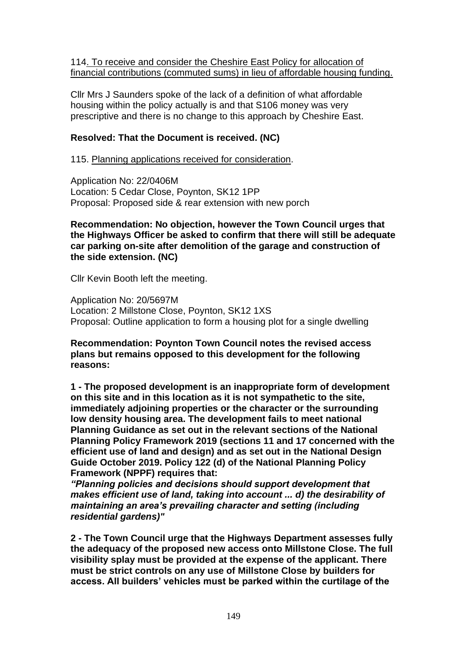114. To receive and consider the Cheshire East Policy for allocation of financial contributions (commuted sums) in lieu of affordable housing funding.

Cllr Mrs J Saunders spoke of the lack of a definition of what affordable housing within the policy actually is and that S106 money was very prescriptive and there is no change to this approach by Cheshire East.

### **Resolved: That the Document is received. (NC)**

115. Planning applications received for consideration.

Application No: 22/0406M Location: 5 Cedar Close, Poynton, SK12 1PP Proposal: Proposed side & rear extension with new porch

#### **Recommendation: No objection, however the Town Council urges that the Highways Officer be asked to confirm that there will still be adequate car parking on-site after demolition of the garage and construction of the side extension. (NC)**

Cllr Kevin Booth left the meeting.

Application No: 20/5697M Location: 2 Millstone Close, Poynton, SK12 1XS Proposal: Outline application to form a housing plot for a single dwelling

### **Recommendation: Poynton Town Council notes the revised access plans but remains opposed to this development for the following reasons:**

**1 - The proposed development is an inappropriate form of development on this site and in this location as it is not sympathetic to the site, immediately adjoining properties or the character or the surrounding low density housing area. The development fails to meet national Planning Guidance as set out in the relevant sections of the National Planning Policy Framework 2019 (sections 11 and 17 concerned with the efficient use of land and design) and as set out in the National Design Guide October 2019. Policy 122 (d) of the National Planning Policy Framework (NPPF) requires that:** 

*"Planning policies and decisions should support development that makes efficient use of land, taking into account ... d) the desirability of maintaining an area's prevailing character and setting (including residential gardens)"*

**2 - The Town Council urge that the Highways Department assesses fully the adequacy of the proposed new access onto Millstone Close. The full visibility splay must be provided at the expense of the applicant. There must be strict controls on any use of Millstone Close by builders for access. All builders' vehicles must be parked within the curtilage of the**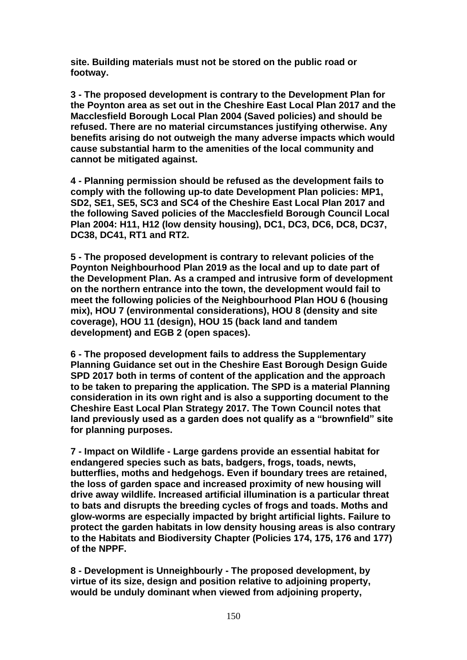**site. Building materials must not be stored on the public road or footway.**

**3 - The proposed development is contrary to the Development Plan for the Poynton area as set out in the Cheshire East Local Plan 2017 and the Macclesfield Borough Local Plan 2004 (Saved policies) and should be refused. There are no material circumstances justifying otherwise. Any benefits arising do not outweigh the many adverse impacts which would cause substantial harm to the amenities of the local community and cannot be mitigated against.**

**4 - Planning permission should be refused as the development fails to comply with the following up-to date Development Plan policies: MP1, SD2, SE1, SE5, SC3 and SC4 of the Cheshire East Local Plan 2017 and the following Saved policies of the Macclesfield Borough Council Local Plan 2004: H11, H12 (low density housing), DC1, DC3, DC6, DC8, DC37, DC38, DC41, RT1 and RT2.**

**5 - The proposed development is contrary to relevant policies of the Poynton Neighbourhood Plan 2019 as the local and up to date part of the Development Plan. As a cramped and intrusive form of development on the northern entrance into the town, the development would fail to meet the following policies of the Neighbourhood Plan HOU 6 (housing mix), HOU 7 (environmental considerations), HOU 8 (density and site coverage), HOU 11 (design), HOU 15 (back land and tandem development) and EGB 2 (open spaces).**

**6 - The proposed development fails to address the Supplementary Planning Guidance set out in the Cheshire East Borough Design Guide SPD 2017 both in terms of content of the application and the approach to be taken to preparing the application. The SPD is a material Planning consideration in its own right and is also a supporting document to the Cheshire East Local Plan Strategy 2017. The Town Council notes that land previously used as a garden does not qualify as a "brownfield" site for planning purposes.**

**7 - Impact on Wildlife - Large gardens provide an essential habitat for endangered species such as bats, badgers, frogs, toads, newts, butterflies, moths and hedgehogs. Even if boundary trees are retained, the loss of garden space and increased proximity of new housing will drive away wildlife. Increased artificial illumination is a particular threat to bats and disrupts the breeding cycles of frogs and toads. Moths and glow-worms are especially impacted by bright artificial lights. Failure to protect the garden habitats in low density housing areas is also contrary to the Habitats and Biodiversity Chapter (Policies 174, 175, 176 and 177) of the NPPF.**

**8 - Development is Unneighbourly - The proposed development, by virtue of its size, design and position relative to adjoining property, would be unduly dominant when viewed from adjoining property,**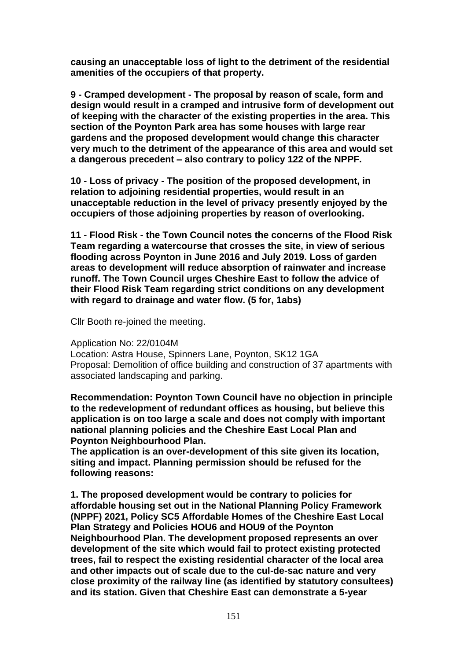**causing an unacceptable loss of light to the detriment of the residential amenities of the occupiers of that property.**

**9 - Cramped development - The proposal by reason of scale, form and design would result in a cramped and intrusive form of development out of keeping with the character of the existing properties in the area. This section of the Poynton Park area has some houses with large rear gardens and the proposed development would change this character very much to the detriment of the appearance of this area and would set a dangerous precedent – also contrary to policy 122 of the NPPF.**

**10 - Loss of privacy - The position of the proposed development, in relation to adjoining residential properties, would result in an unacceptable reduction in the level of privacy presently enjoyed by the occupiers of those adjoining properties by reason of overlooking.**

**11 - Flood Risk - the Town Council notes the concerns of the Flood Risk Team regarding a watercourse that crosses the site, in view of serious flooding across Poynton in June 2016 and July 2019. Loss of garden areas to development will reduce absorption of rainwater and increase runoff. The Town Council urges Cheshire East to follow the advice of their Flood Risk Team regarding strict conditions on any development with regard to drainage and water flow. (5 for, 1abs)**

Cllr Booth re-joined the meeting.

#### Application No: 22/0104M

Location: Astra House, Spinners Lane, Poynton, SK12 1GA Proposal: Demolition of office building and construction of 37 apartments with associated landscaping and parking.

**Recommendation: Poynton Town Council have no objection in principle to the redevelopment of redundant offices as housing, but believe this application is on too large a scale and does not comply with important national planning policies and the Cheshire East Local Plan and Poynton Neighbourhood Plan.** 

**The application is an over-development of this site given its location, siting and impact. Planning permission should be refused for the following reasons:**

**1. The proposed development would be contrary to policies for affordable housing set out in the National Planning Policy Framework (NPPF) 2021, Policy SC5 Affordable Homes of the Cheshire East Local Plan Strategy and Policies HOU6 and HOU9 of the Poynton Neighbourhood Plan. The development proposed represents an over development of the site which would fail to protect existing protected trees, fail to respect the existing residential character of the local area and other impacts out of scale due to the cul-de-sac nature and very close proximity of the railway line (as identified by statutory consultees) and its station. Given that Cheshire East can demonstrate a 5-year**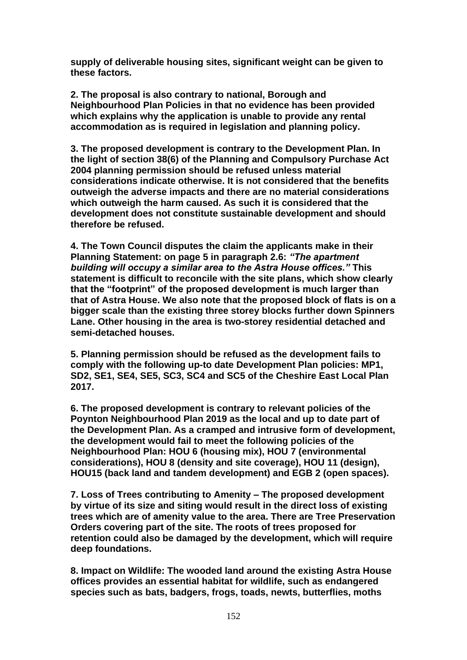**supply of deliverable housing sites, significant weight can be given to these factors.**

**2. The proposal is also contrary to national, Borough and Neighbourhood Plan Policies in that no evidence has been provided which explains why the application is unable to provide any rental accommodation as is required in legislation and planning policy.** 

**3. The proposed development is contrary to the Development Plan. In the light of section 38(6) of the Planning and Compulsory Purchase Act 2004 planning permission should be refused unless material considerations indicate otherwise. It is not considered that the benefits outweigh the adverse impacts and there are no material considerations which outweigh the harm caused. As such it is considered that the development does not constitute sustainable development and should therefore be refused.**

**4. The Town Council disputes the claim the applicants make in their Planning Statement: on page 5 in paragraph 2.6:** *"The apartment building will occupy a similar area to the Astra House offices."* **This statement is difficult to reconcile with the site plans, which show clearly that the "footprint" of the proposed development is much larger than that of Astra House. We also note that the proposed block of flats is on a bigger scale than the existing three storey blocks further down Spinners Lane. Other housing in the area is two-storey residential detached and semi-detached houses.**

**5. Planning permission should be refused as the development fails to comply with the following up-to date Development Plan policies: MP1, SD2, SE1, SE4, SE5, SC3, SC4 and SC5 of the Cheshire East Local Plan 2017.**

**6. The proposed development is contrary to relevant policies of the Poynton Neighbourhood Plan 2019 as the local and up to date part of the Development Plan. As a cramped and intrusive form of development, the development would fail to meet the following policies of the Neighbourhood Plan: HOU 6 (housing mix), HOU 7 (environmental considerations), HOU 8 (density and site coverage), HOU 11 (design), HOU15 (back land and tandem development) and EGB 2 (open spaces).**

**7. Loss of Trees contributing to Amenity – The proposed development by virtue of its size and siting would result in the direct loss of existing trees which are of amenity value to the area. There are Tree Preservation Orders covering part of the site. The roots of trees proposed for retention could also be damaged by the development, which will require deep foundations.** 

**8. Impact on Wildlife: The wooded land around the existing Astra House offices provides an essential habitat for wildlife, such as endangered species such as bats, badgers, frogs, toads, newts, butterflies, moths**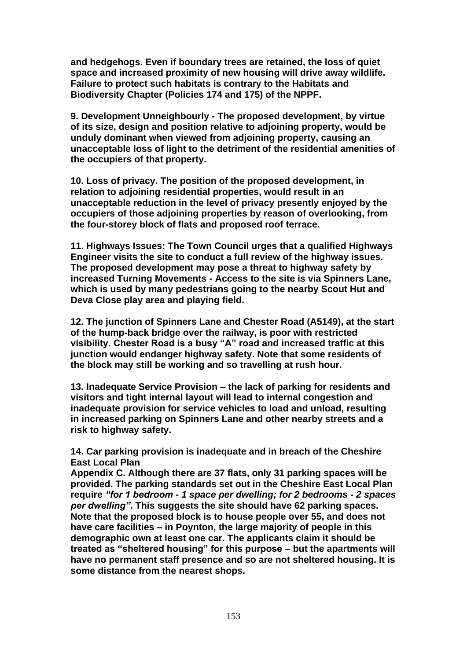**and hedgehogs. Even if boundary trees are retained, the loss of quiet space and increased proximity of new housing will drive away wildlife. Failure to protect such habitats is contrary to the Habitats and Biodiversity Chapter (Policies 174 and 175) of the NPPF.**

**9. Development Unneighbourly - The proposed development, by virtue of its size, design and position relative to adjoining property, would be unduly dominant when viewed from adjoining property, causing an unacceptable loss of light to the detriment of the residential amenities of the occupiers of that property.** 

**10. Loss of privacy. The position of the proposed development, in relation to adjoining residential properties, would result in an unacceptable reduction in the level of privacy presently enjoyed by the occupiers of those adjoining properties by reason of overlooking, from the four-storey block of flats and proposed roof terrace.**

**11. Highways Issues: The Town Council urges that a qualified Highways Engineer visits the site to conduct a full review of the highway issues. The proposed development may pose a threat to highway safety by increased Turning Movements - Access to the site is via Spinners Lane, which is used by many pedestrians going to the nearby Scout Hut and Deva Close play area and playing field.** 

**12. The junction of Spinners Lane and Chester Road (A5149), at the start of the hump-back bridge over the railway, is poor with restricted visibility. Chester Road is a busy "A" road and increased traffic at this junction would endanger highway safety. Note that some residents of the block may still be working and so travelling at rush hour.**

**13. Inadequate Service Provision – the lack of parking for residents and visitors and tight internal layout will lead to internal congestion and inadequate provision for service vehicles to load and unload, resulting in increased parking on Spinners Lane and other nearby streets and a risk to highway safety.**

**14. Car parking provision is inadequate and in breach of the Cheshire East Local Plan**

**Appendix C. Although there are 37 flats, only 31 parking spaces will be provided. The parking standards set out in the Cheshire East Local Plan require** *"for 1 bedroom - 1 space per dwelling; for 2 bedrooms - 2 spaces per dwelling"***. This suggests the site should have 62 parking spaces. Note that the proposed block is to house people over 55, and does not have care facilities – in Poynton, the large majority of people in this demographic own at least one car. The applicants claim it should be treated as "sheltered housing" for this purpose – but the apartments will have no permanent staff presence and so are not sheltered housing. It is some distance from the nearest shops.**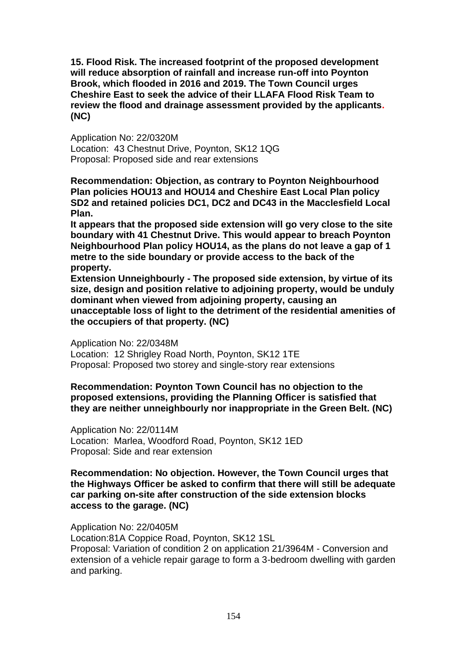**15. Flood Risk. The increased footprint of the proposed development will reduce absorption of rainfall and increase run-off into Poynton Brook, which flooded in 2016 and 2019. The Town Council urges Cheshire East to seek the advice of their LLAFA Flood Risk Team to review the flood and drainage assessment provided by the applicants. (NC)**

Application No: 22/0320M Location: 43 Chestnut Drive, Poynton, SK12 1QG Proposal: Proposed side and rear extensions

**Recommendation: Objection, as contrary to Poynton Neighbourhood Plan policies HOU13 and HOU14 and Cheshire East Local Plan policy SD2 and retained policies DC1, DC2 and DC43 in the Macclesfield Local Plan.**

**It appears that the proposed side extension will go very close to the site boundary with 41 Chestnut Drive. This would appear to breach Poynton Neighbourhood Plan policy HOU14, as the plans do not leave a gap of 1 metre to the side boundary or provide access to the back of the property.** 

**Extension Unneighbourly - The proposed side extension, by virtue of its size, design and position relative to adjoining property, would be unduly dominant when viewed from adjoining property, causing an unacceptable loss of light to the detriment of the residential amenities of the occupiers of that property. (NC)**

Application No: 22/0348M

Location: 12 Shrigley Road North, Poynton, SK12 1TE Proposal: Proposed two storey and single-story rear extensions

**Recommendation: Poynton Town Council has no objection to the proposed extensions, providing the Planning Officer is satisfied that they are neither unneighbourly nor inappropriate in the Green Belt. (NC)**

Application No: 22/0114M Location: Marlea, Woodford Road, Poynton, SK12 1ED Proposal: Side and rear extension

**Recommendation: No objection. However, the Town Council urges that the Highways Officer be asked to confirm that there will still be adequate car parking on-site after construction of the side extension blocks access to the garage. (NC)**

Application No: 22/0405M

Location:81A Coppice Road, Poynton, SK12 1SL

Proposal: Variation of condition 2 on application 21/3964M - Conversion and extension of a vehicle repair garage to form a 3-bedroom dwelling with garden and parking.